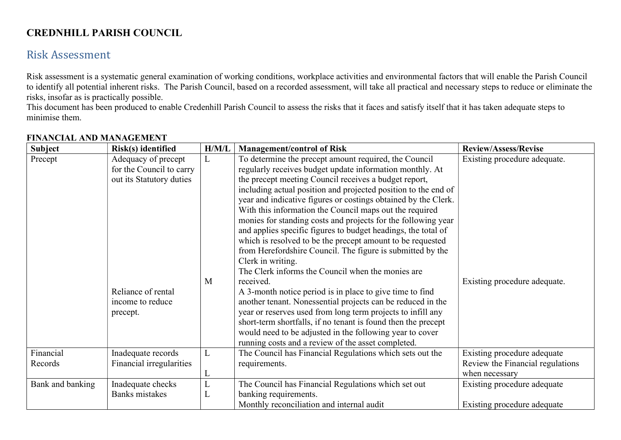## CREDNHILL PARISH COUNCIL

## Risk Assessment

Risk assessment is a systematic general examination of working conditions, workplace activities and environmental factors that will enable the Parish Council to identify all potential inherent risks. The Parish Council, based on a recorded assessment, will take all practical and necessary steps to reduce or eliminate the risks, insofar as is practically possible.

This document has been produced to enable Credenhill Parish Council to assess the risks that it faces and satisfy itself that it has taken adequate steps to minimise them.

| <b>Subject</b>       | Risk(s) identified                                                          | H/M/L  | <b>Management/control of Risk</b>                                                                                                                                                                                                                                                                                                                                                                                                                                                                                                                                                                                                                                                                                 | <b>Review/Assess/Revise</b>                                                       |
|----------------------|-----------------------------------------------------------------------------|--------|-------------------------------------------------------------------------------------------------------------------------------------------------------------------------------------------------------------------------------------------------------------------------------------------------------------------------------------------------------------------------------------------------------------------------------------------------------------------------------------------------------------------------------------------------------------------------------------------------------------------------------------------------------------------------------------------------------------------|-----------------------------------------------------------------------------------|
| Precept              | Adequacy of precept<br>for the Council to carry<br>out its Statutory duties | L      | To determine the precept amount required, the Council<br>regularly receives budget update information monthly. At<br>the precept meeting Council receives a budget report,<br>including actual position and projected position to the end of<br>year and indicative figures or costings obtained by the Clerk.<br>With this information the Council maps out the required<br>monies for standing costs and projects for the following year<br>and applies specific figures to budget headings, the total of<br>which is resolved to be the precept amount to be requested<br>from Herefordshire Council. The figure is submitted by the<br>Clerk in writing.<br>The Clerk informs the Council when the monies are | Existing procedure adequate.                                                      |
|                      | Reliance of rental<br>income to reduce<br>precept.                          | M      | received.<br>A 3-month notice period is in place to give time to find<br>another tenant. Nonessential projects can be reduced in the<br>year or reserves used from long term projects to infill any<br>short-term shortfalls, if no tenant is found then the precept<br>would need to be adjusted in the following year to cover<br>running costs and a review of the asset completed.                                                                                                                                                                                                                                                                                                                            | Existing procedure adequate.                                                      |
| Financial<br>Records | Inadequate records<br>Financial irregularities                              | L      | The Council has Financial Regulations which sets out the<br>requirements.                                                                                                                                                                                                                                                                                                                                                                                                                                                                                                                                                                                                                                         | Existing procedure adequate<br>Review the Financial regulations<br>when necessary |
| Bank and banking     | Inadequate checks<br><b>Banks</b> mistakes                                  | L<br>L | The Council has Financial Regulations which set out<br>banking requirements.<br>Monthly reconciliation and internal audit                                                                                                                                                                                                                                                                                                                                                                                                                                                                                                                                                                                         | Existing procedure adequate<br>Existing procedure adequate                        |

## FINANCIAL AND MANAGEMENT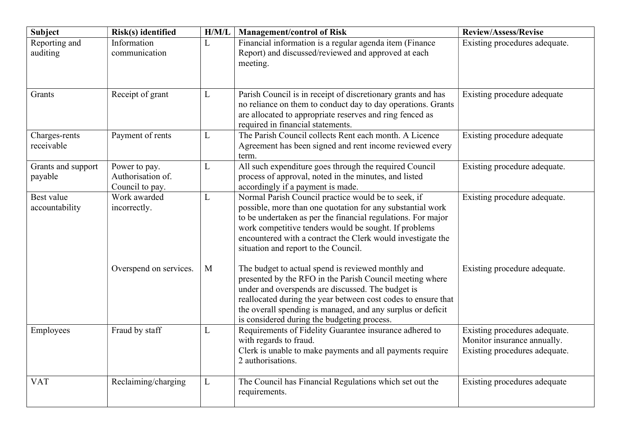| <b>Subject</b>                | Risk(s) identified                                    | H/M/L | <b>Management/control of Risk</b>                                                                                                                                                                                                                                                                                                                  | <b>Review/Assess/Revise</b>                                                                   |
|-------------------------------|-------------------------------------------------------|-------|----------------------------------------------------------------------------------------------------------------------------------------------------------------------------------------------------------------------------------------------------------------------------------------------------------------------------------------------------|-----------------------------------------------------------------------------------------------|
| Reporting and<br>auditing     | Information<br>communication                          | L     | Financial information is a regular agenda item (Finance<br>Report) and discussed/reviewed and approved at each<br>meeting.                                                                                                                                                                                                                         | Existing procedures adequate.                                                                 |
| Grants                        | Receipt of grant                                      | L     | Parish Council is in receipt of discretionary grants and has<br>no reliance on them to conduct day to day operations. Grants<br>are allocated to appropriate reserves and ring fenced as<br>required in financial statements.                                                                                                                      | Existing procedure adequate                                                                   |
| Charges-rents<br>receivable   | Payment of rents                                      | L     | The Parish Council collects Rent each month. A Licence<br>Agreement has been signed and rent income reviewed every<br>term.                                                                                                                                                                                                                        | Existing procedure adequate                                                                   |
| Grants and support<br>payable | Power to pay.<br>Authorisation of.<br>Council to pay. | L     | All such expenditure goes through the required Council<br>process of approval, noted in the minutes, and listed<br>accordingly if a payment is made.                                                                                                                                                                                               | Existing procedure adequate.                                                                  |
| Best value<br>accountability  | Work awarded<br>incorrectly.                          | L     | Normal Parish Council practice would be to seek, if<br>possible, more than one quotation for any substantial work<br>to be undertaken as per the financial regulations. For major<br>work competitive tenders would be sought. If problems<br>encountered with a contract the Clerk would investigate the<br>situation and report to the Council.  | Existing procedure adequate.                                                                  |
|                               | Overspend on services.                                | M     | The budget to actual spend is reviewed monthly and<br>presented by the RFO in the Parish Council meeting where<br>under and overspends are discussed. The budget is<br>reallocated during the year between cost codes to ensure that<br>the overall spending is managed, and any surplus or deficit<br>is considered during the budgeting process. | Existing procedure adequate.                                                                  |
| Employees                     | Fraud by staff                                        | L     | Requirements of Fidelity Guarantee insurance adhered to<br>with regards to fraud.<br>Clerk is unable to make payments and all payments require<br>2 authorisations.                                                                                                                                                                                | Existing procedures adequate.<br>Monitor insurance annually.<br>Existing procedures adequate. |
| <b>VAT</b>                    | Reclaiming/charging                                   | L     | The Council has Financial Regulations which set out the<br>requirements.                                                                                                                                                                                                                                                                           | Existing procedures adequate                                                                  |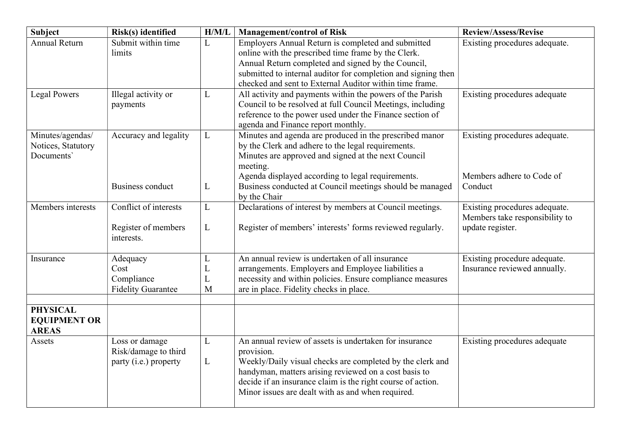| <b>Subject</b>                                         | Risk(s) identified                                              | H/M/L            | <b>Management/control of Risk</b>                                                                                                                                                                                                                                                                              | <b>Review/Assess/Revise</b>                                                         |
|--------------------------------------------------------|-----------------------------------------------------------------|------------------|----------------------------------------------------------------------------------------------------------------------------------------------------------------------------------------------------------------------------------------------------------------------------------------------------------------|-------------------------------------------------------------------------------------|
| <b>Annual Return</b>                                   | Submit within time<br>limits                                    | L                | Employers Annual Return is completed and submitted<br>online with the prescribed time frame by the Clerk.<br>Annual Return completed and signed by the Council,<br>submitted to internal auditor for completion and signing then<br>checked and sent to External Auditor within time frame.                    | Existing procedures adequate.                                                       |
| <b>Legal Powers</b>                                    | Illegal activity or<br>payments                                 | L                | All activity and payments within the powers of the Parish<br>Council to be resolved at full Council Meetings, including<br>reference to the power used under the Finance section of<br>agenda and Finance report monthly.                                                                                      | Existing procedures adequate                                                        |
| Minutes/agendas/<br>Notices, Statutory<br>Documents'   | Accuracy and legality<br><b>Business conduct</b>                | L<br>L           | Minutes and agenda are produced in the prescribed manor<br>by the Clerk and adhere to the legal requirements.<br>Minutes are approved and signed at the next Council<br>meeting.<br>Agenda displayed according to legal requirements.<br>Business conducted at Council meetings should be managed              | Existing procedures adequate.<br>Members adhere to Code of<br>Conduct               |
|                                                        |                                                                 |                  | by the Chair                                                                                                                                                                                                                                                                                                   |                                                                                     |
| Members interests                                      | Conflict of interests<br>Register of members<br>interests.      | L<br>L           | Declarations of interest by members at Council meetings.<br>Register of members' interests' forms reviewed regularly.                                                                                                                                                                                          | Existing procedures adequate.<br>Members take responsibility to<br>update register. |
| Insurance                                              | Adequacy<br>Cost<br>Compliance<br><b>Fidelity Guarantee</b>     | L<br>L<br>L<br>M | An annual review is undertaken of all insurance<br>arrangements. Employers and Employee liabilities a<br>necessity and within policies. Ensure compliance measures<br>are in place. Fidelity checks in place.                                                                                                  | Existing procedure adequate.<br>Insurance reviewed annually.                        |
| <b>PHYSICAL</b><br><b>EQUIPMENT OR</b><br><b>AREAS</b> |                                                                 |                  |                                                                                                                                                                                                                                                                                                                |                                                                                     |
| Assets                                                 | Loss or damage<br>Risk/damage to third<br>party (i.e.) property | L<br>L           | An annual review of assets is undertaken for insurance<br>provision.<br>Weekly/Daily visual checks are completed by the clerk and<br>handyman, matters arising reviewed on a cost basis to<br>decide if an insurance claim is the right course of action.<br>Minor issues are dealt with as and when required. | Existing procedures adequate                                                        |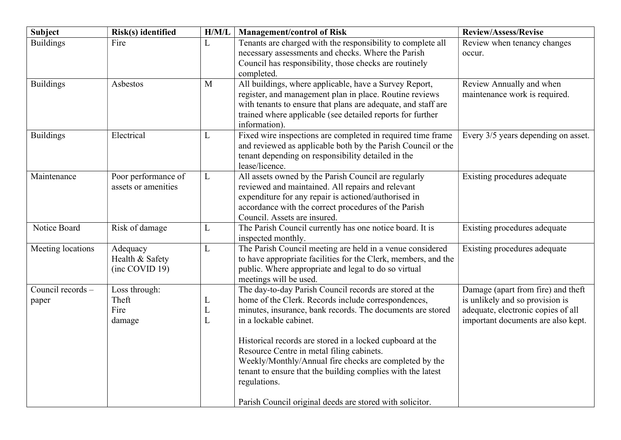| <b>Subject</b>             | Risk(s) identified                            | H/M/L                  | <b>Management/control of Risk</b>                                                                                                                                                                                                                                                                                                                                                                                                                         | Review/Assess/Revise                                                                                                                              |
|----------------------------|-----------------------------------------------|------------------------|-----------------------------------------------------------------------------------------------------------------------------------------------------------------------------------------------------------------------------------------------------------------------------------------------------------------------------------------------------------------------------------------------------------------------------------------------------------|---------------------------------------------------------------------------------------------------------------------------------------------------|
| <b>Buildings</b>           | Fire                                          | L                      | Tenants are charged with the responsibility to complete all<br>necessary assessments and checks. Where the Parish<br>Council has responsibility, those checks are routinely<br>completed.                                                                                                                                                                                                                                                                 | Review when tenancy changes<br>occur.                                                                                                             |
| <b>Buildings</b>           | Asbestos                                      | M                      | All buildings, where applicable, have a Survey Report,<br>register, and management plan in place. Routine reviews<br>with tenants to ensure that plans are adequate, and staff are<br>trained where applicable (see detailed reports for further<br>information).                                                                                                                                                                                         | Review Annually and when<br>maintenance work is required.                                                                                         |
| <b>Buildings</b>           | Electrical                                    | L                      | Fixed wire inspections are completed in required time frame<br>and reviewed as applicable both by the Parish Council or the<br>tenant depending on responsibility detailed in the<br>lease/licence.                                                                                                                                                                                                                                                       | Every 3/5 years depending on asset.                                                                                                               |
| Maintenance                | Poor performance of<br>assets or amenities    | L                      | All assets owned by the Parish Council are regularly<br>reviewed and maintained. All repairs and relevant<br>expenditure for any repair is actioned/authorised in<br>accordance with the correct procedures of the Parish<br>Council. Assets are insured.                                                                                                                                                                                                 | Existing procedures adequate                                                                                                                      |
| Notice Board               | Risk of damage                                | L                      | The Parish Council currently has one notice board. It is<br>inspected monthly.                                                                                                                                                                                                                                                                                                                                                                            | Existing procedures adequate                                                                                                                      |
| Meeting locations          | Adequacy<br>Health & Safety<br>(inc COVID 19) | L                      | The Parish Council meeting are held in a venue considered<br>to have appropriate facilities for the Clerk, members, and the<br>public. Where appropriate and legal to do so virtual<br>meetings will be used.                                                                                                                                                                                                                                             | Existing procedures adequate                                                                                                                      |
| Council records -<br>paper | Loss through:<br>Theft<br>Fire<br>damage      | L<br>$\mathbf{L}$<br>L | The day-to-day Parish Council records are stored at the<br>home of the Clerk. Records include correspondences,<br>minutes, insurance, bank records. The documents are stored<br>in a lockable cabinet.<br>Historical records are stored in a locked cupboard at the<br>Resource Centre in metal filing cabinets.<br>Weekly/Monthly/Annual fire checks are completed by the<br>tenant to ensure that the building complies with the latest<br>regulations. | Damage (apart from fire) and theft<br>is unlikely and so provision is<br>adequate, electronic copies of all<br>important documents are also kept. |
|                            |                                               |                        | Parish Council original deeds are stored with solicitor.                                                                                                                                                                                                                                                                                                                                                                                                  |                                                                                                                                                   |